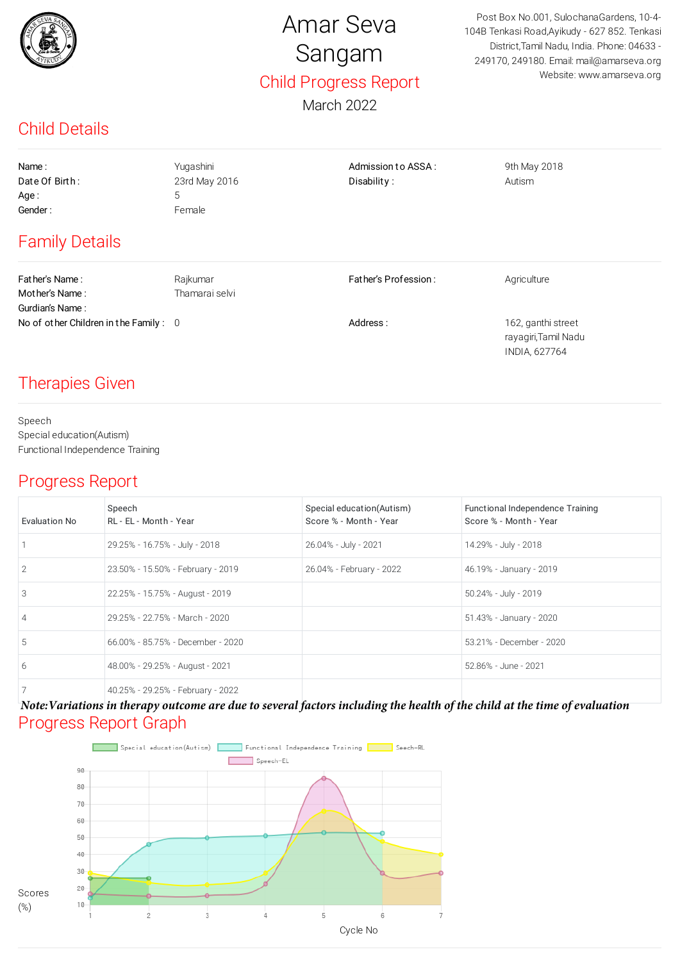

# Amar Seva Sangam Child Progress Report

March 2022

Post Box No.001, SulochanaGardens, 10-4- 104B Tenkasi Road,Ayikudy - 627 852. Tenkasi District,Tamil Nadu, India. Phone: 04633 - 249170, 249180. Email: mail@amarseva.org Website: www.amarseva.org

> rayagiri,Tamil Nadu INDIA, 627764

## Child Details

| Name:                                    | Yugashini      | Admission to ASSA:   | 9th May 2018       |
|------------------------------------------|----------------|----------------------|--------------------|
| Date Of Birth:                           | 23rd May 2016  | Disability:          | Autism             |
| Age:                                     | 5              |                      |                    |
| Gender:                                  | Female         |                      |                    |
| <b>Family Details</b>                    |                |                      |                    |
| Father's Name:                           | Rajkumar       | Father's Profession: | Agriculture        |
| Mother's Name:                           | Thamarai selvi |                      |                    |
| Gurdian's Name:                          |                |                      |                    |
| No of other Children in the Family : $0$ |                | Address:             | 162, ganthi street |

## Therapies Given

Speech Special education(Autism) Functional Independence Training

### Progress Report

| Evaluation No  | Speech<br>RL - EL - Month - Year  | Special education(Autism)<br>Score % - Month - Year | Functional Independence Training<br>Score % - Month - Year |
|----------------|-----------------------------------|-----------------------------------------------------|------------------------------------------------------------|
|                | 29.25% - 16.75% - July - 2018     | 26.04% - July - 2021                                | 14.29% - July - 2018                                       |
| 2              | 23.50% - 15.50% - February - 2019 | 26.04% - February - 2022                            | 46.19% - January - 2019                                    |
| 3              | 22.25% - 15.75% - August - 2019   |                                                     | 50.24% - July - 2019                                       |
| $\overline{4}$ | 29.25% - 22.75% - March - 2020    |                                                     | 51.43% - January - 2020                                    |
| 5              | 66.00% - 85.75% - December - 2020 |                                                     | 53.21% - December - 2020                                   |
| 6              | 48.00% - 29.25% - August - 2021   |                                                     | 52.86% - June - 2021                                       |
| 7              | 40.25% - 29.25% - February - 2022 |                                                     |                                                            |

#### Progress Report Graph *Note:Variations in therapy outcome are due to several factors including the health of the child at the time of evaluation*